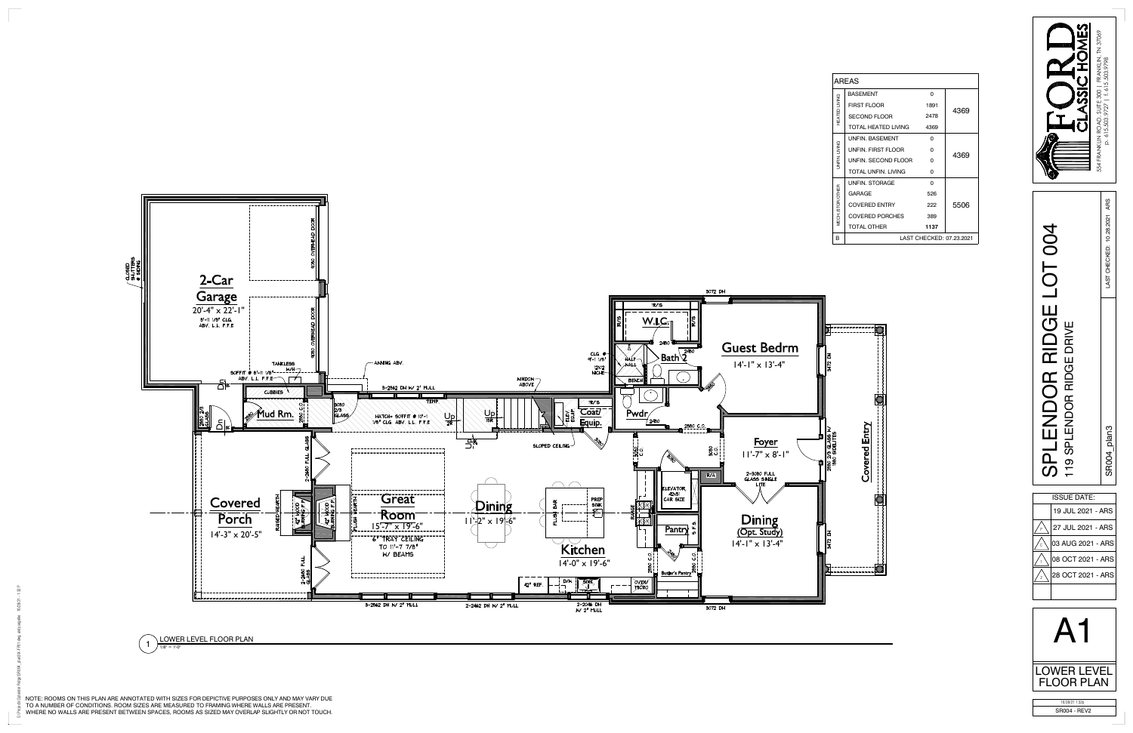

1 LOWER LEVEL FLOOR PLAN  $1/8" = 1' - 0'$ 

| <b>AREAS</b>            |                          |          |      |
|-------------------------|--------------------------|----------|------|
|                         | <b>BASEMENT</b>          | $\Omega$ |      |
| <b>HEATED LIVING</b>    | <b>FIRST FLOOR</b>       | 1891     | 4369 |
|                         | <b>SECOND FLOOR</b>      | 2478     |      |
|                         | TOTAL HEATED LIVING      | 4369     |      |
| JNFIN. LIVING           | <b>UNFIN, BASEMENT</b>   | $\Omega$ | 4369 |
|                         | UNFIN. FIRST FLOOR       | $\Omega$ |      |
|                         | UNFIN. SECOND FLOOR      | $\Omega$ |      |
|                         | TOTAL UNFIN LIVING       | $\Omega$ |      |
| <b>MECH./STOR/OTHER</b> | <b>UNFIN. STORAGE</b>    | $\Omega$ | 5506 |
|                         | <b>GARAGE</b>            | 526      |      |
|                         | <b>COVERED ENTRY</b>     | 222      |      |
|                         | <b>COVERED PORCHES</b>   | 389      |      |
|                         | <b>TOTAL OTHER</b>       | 1137     |      |
| в                       | LAST CHECKED: 07.23.2021 |          |      |

SR004 - REV2

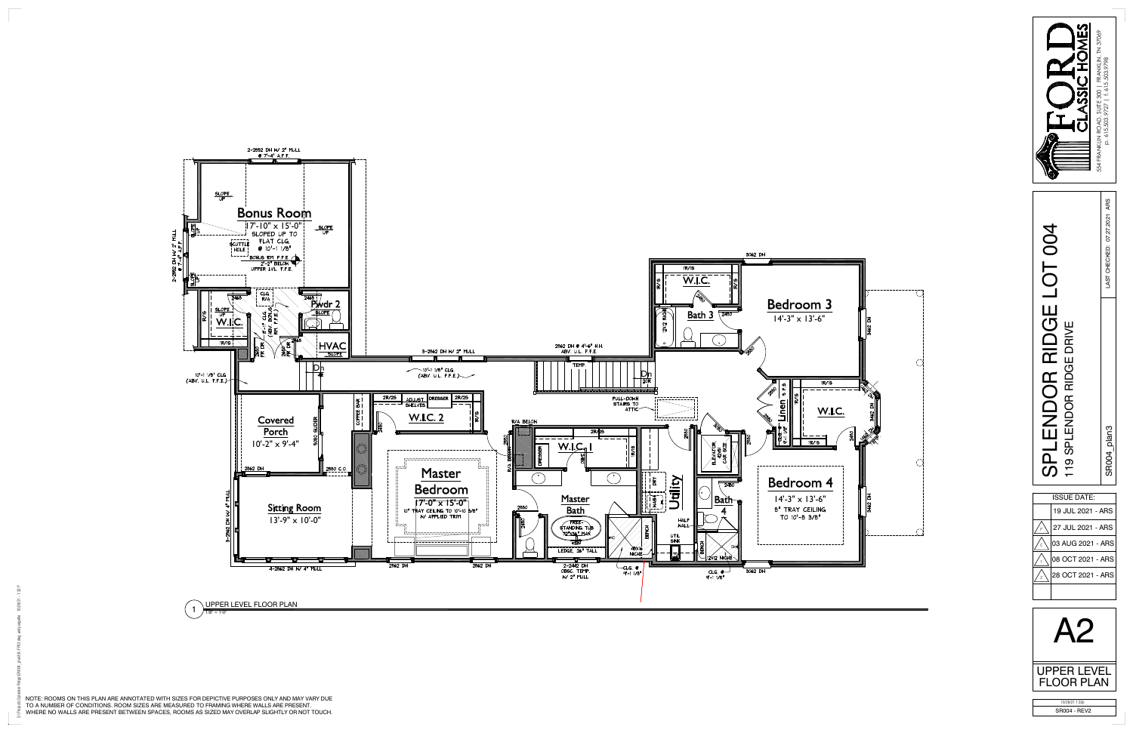



NOTE: ROOMS ON THIS PLAN ARE ANNOTATED WITH SIZES FOR DEPICTIVE PURPOSES ONLY AND MAY VARY DUETO A NUMBER OF CONDITIONS. ROOM SIZES ARE MEASURED TO FRAMING WHERE WALLS ARE PRESENT.WHERE NO WALLS ARE PRESENT BETWEEN SPACES, ROOMS AS SIZED MAY OVERLAP SLIGHTLY OR NOT TOUCH.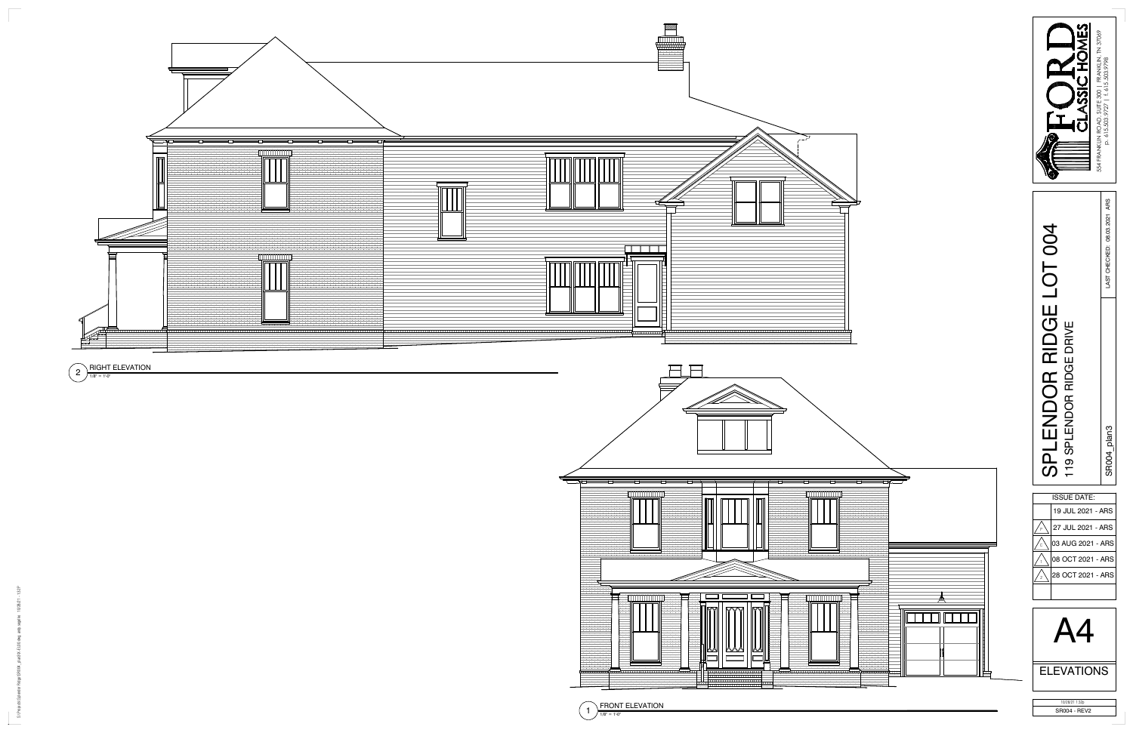$\overline{\mathbb{F}}$